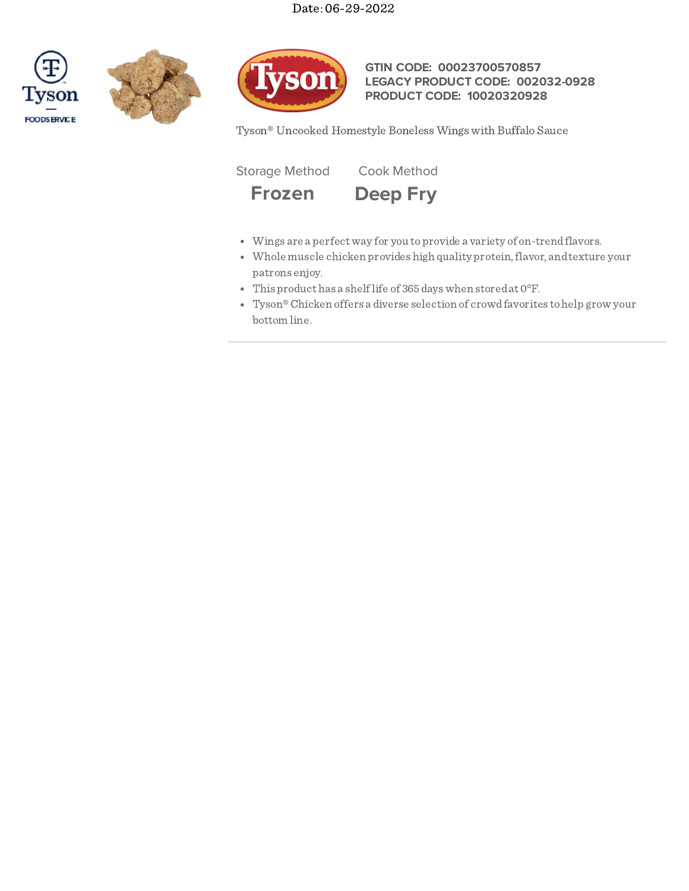





# **GTIN CODE: 00023700570857 LEGACY PRODUCT CODE: 002032-0928 PRODUCT CODE: 10020320928**

Tyson® Uncooked Homestyle Boneless Wings with Buffalo Sauce

Storage Method Cook Method



- Wings are a perfectway for you toprovide a variety of on-trendflavors.
- Whole muscle chicken provides high quality protein, flavor, and texture your patrons enjoy.
- This product has a shelflife of 365dayswhen storedat 0°F.
- Tyson®Chicken offers a diverse selection of crowdfavorites tohelp grow your bottom line.